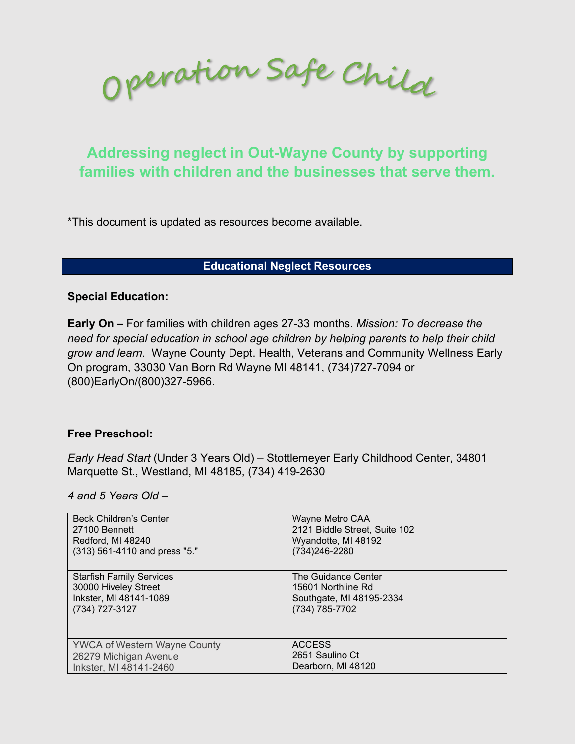Operation Safe Child

# **Addressing neglect in Out-Wayne County by supporting families with children and the businesses that serve them.**

\*This document is updated as resources become available.

## **Educational Neglect Resources**

#### **Special Education:**

**Early On –** For families with children ages 27-33 months. *Mission: To decrease the need for special education in school age children by helping parents to help their child grow and learn.* Wayne County Dept. Health, Veterans and Community Wellness Early On program, 33030 Van Born Rd Wayne MI 48141, (734)727-7094 or (800)EarlyOn/(800)327-5966.

## **Free Preschool:**

*Early Head Start* (Under 3 Years Old) *–* Stottlemeyer Early Childhood Center, 34801 Marquette St., Westland, MI 48185, (734) 419-2630

*4 and 5 Years Old –*

| <b>Beck Children's Center</b>       | Wayne Metro CAA               |
|-------------------------------------|-------------------------------|
| 27100 Bennett                       | 2121 Biddle Street, Suite 102 |
| Redford, MI 48240                   | Wyandotte, MI 48192           |
| (313) 561-4110 and press "5."       | (734) 246-2280                |
| <b>Starfish Family Services</b>     | The Guidance Center           |
| 30000 Hiveley Street                | 15601 Northline Rd            |
| Inkster, MI 48141-1089              | Southgate, MI 48195-2334      |
| (734) 727-3127                      | (734) 785-7702                |
| <b>YWCA of Western Wayne County</b> | <b>ACCESS</b>                 |
| 26279 Michigan Avenue               | 2651 Saulino Ct               |
| Inkster, MI 48141-2460              | Dearborn, MI 48120            |